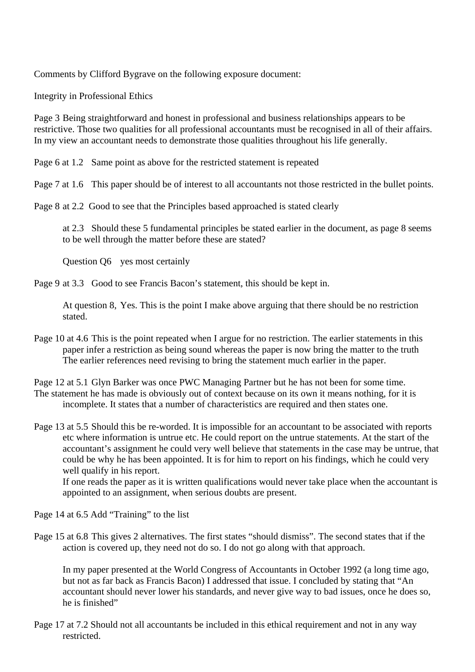Comments by Clifford Bygrave on the following exposure document:

Integrity in Professional Ethics

Page 3 Being straightforward and honest in professional and business relationships appears to be restrictive. Those two qualities for all professional accountants must be recognised in all of their affairs. In my view an accountant needs to demonstrate those qualities throughout his life generally.

Page 6 at 1.2 Same point as above for the restricted statement is repeated

Page 7 at 1.6 This paper should be of interest to all accountants not those restricted in the bullet points.

Page 8 at 2.2 Good to see that the Principles based approached is stated clearly

at 2.3 Should these 5 fundamental principles be stated earlier in the document, as page 8 seems to be well through the matter before these are stated?

Question Q6 yes most certainly

Page 9 at 3.3 Good to see Francis Bacon's statement, this should be kept in.

 At question 8, Yes. This is the point I make above arguing that there should be no restriction stated.

- Page 10 at 4.6 This is the point repeated when I argue for no restriction. The earlier statements in this paper infer a restriction as being sound whereas the paper is now bring the matter to the truth The earlier references need revising to bring the statement much earlier in the paper.
- Page 12 at 5.1 Glyn Barker was once PWC Managing Partner but he has not been for some time. The statement he has made is obviously out of context because on its own it means nothing, for it is incomplete. It states that a number of characteristics are required and then states one.

Page 13 at 5.5 Should this be re-worded. It is impossible for an accountant to be associated with reports etc where information is untrue etc. He could report on the untrue statements. At the start of the accountant's assignment he could very well believe that statements in the case may be untrue, that could be why he has been appointed. It is for him to report on his findings, which he could very well qualify in his report.

 If one reads the paper as it is written qualifications would never take place when the accountant is appointed to an assignment, when serious doubts are present.

Page 14 at 6.5 Add "Training" to the list

Page 15 at 6.8 This gives 2 alternatives. The first states "should dismiss". The second states that if the action is covered up, they need not do so. I do not go along with that approach.

In my paper presented at the World Congress of Accountants in October 1992 (a long time ago, but not as far back as Francis Bacon) I addressed that issue. I concluded by stating that "An accountant should never lower his standards, and never give way to bad issues, once he does so, he is finished"

Page 17 at 7.2 Should not all accountants be included in this ethical requirement and not in any way restricted.